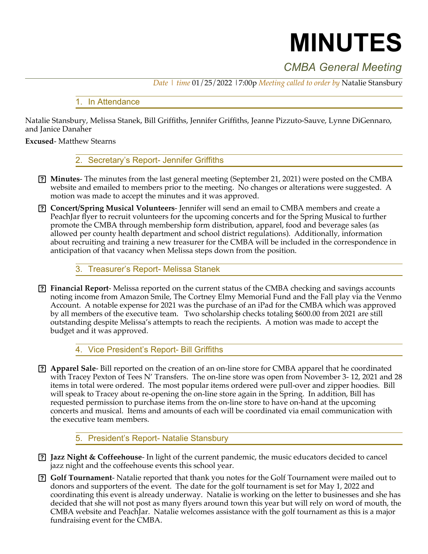# **MINUTES**

# *CMBA General Meeting*

*Date | time* 01/25/2022 |7:00p *Meeting called to order by* Natalie Stansbury

### 1. In Attendance

Natalie Stansbury, Melissa Stanek, Bill Griffiths, Jennifer Griffiths, Jeanne Pizzuto-Sauve, Lynne DiGennaro, and Janice Danaher

#### **Excused**- Matthew Stearns

2. Secretary's Report- Jennifer Griffiths

- **Minutes** The minutes from the last general meeting (September 21, 2021) were posted on the CMBA website and emailed to members prior to the meeting. No changes or alterations were suggested. A motion was made to accept the minutes and it was approved.
- **Concert/Spring Musical Volunteers** Jennifer will send an email to CMBA members and create a PeachJar flyer to recruit volunteers for the upcoming concerts and for the Spring Musical to further promote the CMBA through membership form distribution, apparel, food and beverage sales (as allowed per county health department and school district regulations). Additionally, information about recruiting and training a new treasurer for the CMBA will be included in the correspondence in anticipation of that vacancy when Melissa steps down from the position.

# 3. Treasurer's Report- Melissa Stanek

 **Financial Report**- Melissa reported on the current status of the CMBA checking and savings accounts noting income from Amazon Smile, The Cortney Elmy Memorial Fund and the Fall play via the Venmo Account. A notable expense for 2021 was the purchase of an iPad for the CMBA which was approved by all members of the executive team. Two scholarship checks totaling \$600.00 from 2021 are still outstanding despite Melissa's attempts to reach the recipients. A motion was made to accept the budget and it was approved.

4. Vice President's Report- Bill Griffiths

 **Apparel Sale**- Bill reported on the creation of an on-line store for CMBA apparel that he coordinated with Tracey Pexton of Tees N' Transfers. The on-line store was open from November 3- 12, 2021 and 28 items in total were ordered. The most popular items ordered were pull-over and zipper hoodies. Bill will speak to Tracey about re-opening the on-line store again in the Spring. In addition, Bill has requested permission to purchase items from the on-line store to have on-hand at the upcoming concerts and musical. Items and amounts of each will be coordinated via email communication with the executive team members.

# 5. President's Report- Natalie Stansbury

- **Jazz Night & Coffeehouse** In light of the current pandemic, the music educators decided to cancel jazz night and the coffeehouse events this school year.
- **Golf Tournament** Natalie reported that thank you notes for the Golf Tournament were mailed out to donors and supporters of the event. The date for the golf tournament is set for May 1, 2022 and coordinating this event is already underway. Natalie is working on the letter to businesses and she has decided that she will not post as many flyers around town this year but will rely on word of mouth, the CMBA website and PeachJar. Natalie welcomes assistance with the golf tournament as this is a major fundraising event for the CMBA.